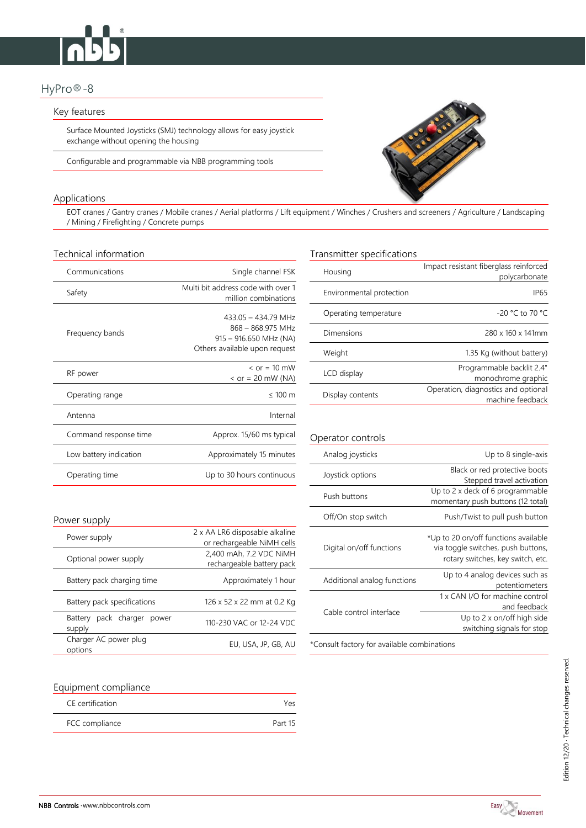# HyPro®-8

## Key features

Surface Mounted Joysticks (SMJ) technology allows for easy joystick exchange without opening the housing

Configurable and programmable via NBB programming tools

## Applications

EOT cranes / Gantry cranes / Mobile cranes / Aerial platforms / Lift equipment / Winches / Crushers and screeners / Agriculture / Landscaping / Mining / Firefighting / Concrete pumps

| Communications         | Single channel FSK                                         | Housing           |
|------------------------|------------------------------------------------------------|-------------------|
| Safety                 | Multi bit address code with over 1<br>million combinations | Environmental pro |
|                        | 433.05 - 434.79 MHz                                        | Operating temper  |
| Frequency bands        | 868 - 868.975 MHz<br>$915 - 916.650$ MHz (NA)              | Dimensions        |
|                        | Others available upon request                              | Weight            |
| RF power               | $\epsilon$ or = 10 mW<br>$\epsilon$ or = 20 mW (NA)        | LCD display       |
| Operating range        | $\leq 100$ m                                               | Display contents  |
| Antenna                | Internal                                                   |                   |
| Command response time  | Approx. 15/60 ms typical                                   | Operator controls |
| Low battery indication | Approximately 15 minutes                                   | Analog joysticks  |
| Operating time         | Up to 30 hours continuous                                  | Joystick options  |

## Power supply

| 2 x AA LR6 disposable alkaline<br>Power supply<br>or rechargeable NiMH cells  |                              |
|-------------------------------------------------------------------------------|------------------------------|
| 2,400 mAh, 7.2 VDC NiMH<br>Optional power supply<br>rechargeable battery pack | Digital on/off functions     |
| Battery pack charging time<br>Approximately 1 hour                            | Additional analog func       |
| Battery pack specifications<br>126 x 52 x 22 mm at 0.2 Kg                     | Cable control interface      |
| Battery pack charger power<br>110-230 VAC or 12-24 VDC<br>supply              |                              |
| Charger AC power plug<br>EU, USA, JP, GB, AU<br>options                       | *Consult factory for availab |

## Technical information Transmitter specifications

| Communications  | Single channel FSK                                         | Housing                  | Impact resistant fiberglass reinforced<br>polycarbonate |
|-----------------|------------------------------------------------------------|--------------------------|---------------------------------------------------------|
| Safety          | Multi bit address code with over 1<br>million combinations | Environmental protection | IP <sub>65</sub>                                        |
| Frequency bands | 433.05 - 434.79 MHz                                        | Operating temperature    | -20 °C to 70 °C                                         |
|                 | 868 - 868.975 MHz<br>$915 - 916.650$ MHz (NA)              | Dimensions               | 280 x 160 x 141mm                                       |
|                 | Others available upon request                              | Weight                   | 1.35 Kg (without battery)                               |
| RF power        | $\epsilon$ or = 10 mW<br>$\le$ or = 20 mW (NA)             | LCD display              | Programmable backlit 2.4"<br>monochrome graphic         |
| Operating range | $\leq 100$ m                                               | Display contents         | Operation, diagnostics and optional<br>machine feedback |

| Commitation response mire                  | Applox. D/00 IIIS typical                                                               | Operator controls           |                                                                            |
|--------------------------------------------|-----------------------------------------------------------------------------------------|-----------------------------|----------------------------------------------------------------------------|
| Low battery indication                     | Approximately 15 minutes                                                                | Analog joysticks            | Up to 8 single-axis                                                        |
| Operating time                             | Up to 30 hours continuous                                                               | Joystick options            | Black or red protective boots<br>Stepped travel activation                 |
|                                            |                                                                                         | Push buttons                | Up to 2 x deck of 6 programmable<br>momentary push buttons (12 total)      |
| ver supply                                 |                                                                                         | Off/On stop switch          | Push/Twist to pull push button                                             |
| Power supply                               | 2 x AA LR6 disposable alkaline<br>or rechargeable NiMH cells<br>2,400 mAh, 7.2 VDC NiMH | Digital on/off functions    | *Up to 20 on/off functions available<br>via toggle switches, push buttons, |
| Optional power supply                      | rechargeable battery pack                                                               |                             | rotary switches, key switch, etc.                                          |
| Battery pack charging time                 | Approximately 1 hour                                                                    | Additional analog functions | Up to 4 analog devices such as<br>potentiometers                           |
| Battery pack specifications                | 126 x 52 x 22 mm at 0.2 Kg                                                              |                             | 1 x CAN I/O for machine control<br>and feedback                            |
| Battery<br>pack charger<br>power<br>supply | 110-230 VAC or 12-24 VDC                                                                | Cable control interface     | Up to 2 x on/off high side<br>switching signals for stop                   |
|                                            |                                                                                         |                             |                                                                            |

\*Consult factory for available combinations



| CE certification | Υρς     |
|------------------|---------|
| FCC compliance   | Part 15 |